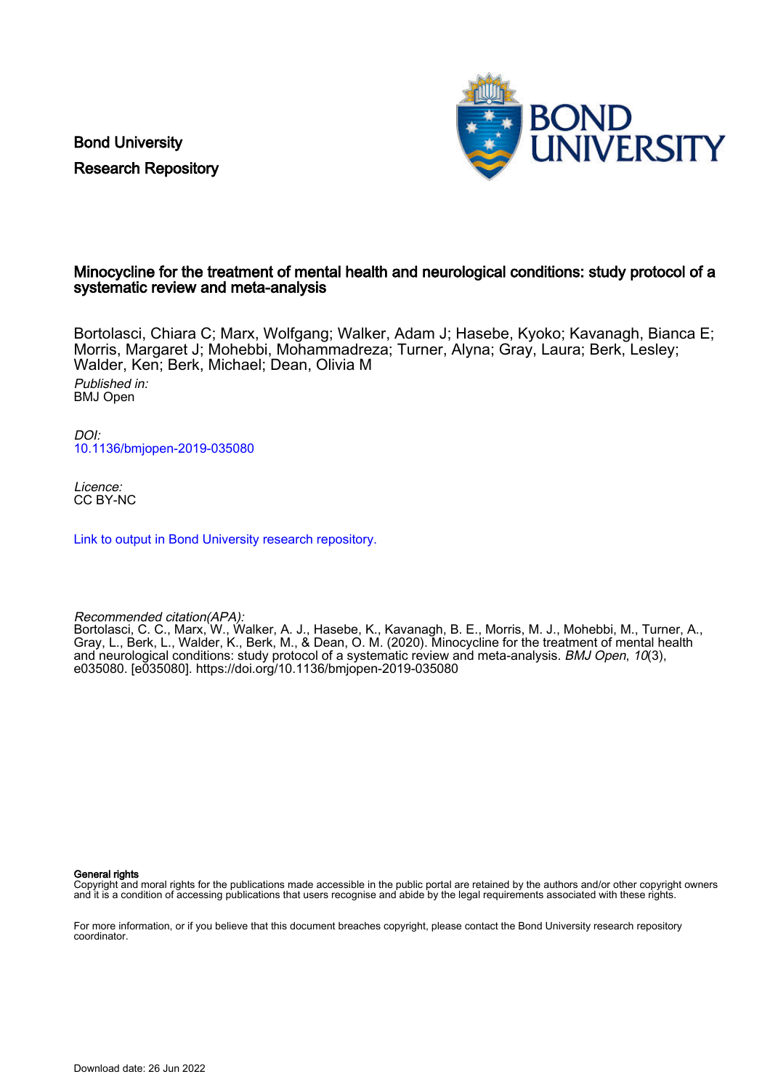Bond University Research Repository



# Minocycline for the treatment of mental health and neurological conditions: study protocol of a systematic review and meta-analysis

Bortolasci, Chiara C; Marx, Wolfgang; Walker, Adam J; Hasebe, Kyoko; Kavanagh, Bianca E; Morris, Margaret J; Mohebbi, Mohammadreza; Turner, Alyna; Gray, Laura; Berk, Lesley; Walder, Ken; Berk, Michael; Dean, Olivia M Published in: BMJ Open

DOI: [10.1136/bmjopen-2019-035080](https://doi.org/10.1136/bmjopen-2019-035080)

Licence: CC BY-NC

[Link to output in Bond University research repository.](https://research.bond.edu.au/en/publications/d194ad2e-6aa0-4fe4-9c07-86f07e6f12ef)

Recommended citation(APA):

Bortolasci, C. C., Marx, W., Walker, A. J., Hasebe, K., Kavanagh, B. E., Morris, M. J., Mohebbi, M., Turner, A., Gray, L., Berk, L., Walder, K., Berk, M., & Dean, O. M. (2020). Minocycline for the treatment of mental health and neurological conditions: study protocol of a systematic review and meta-analysis. BMJ Open, 10(3), e035080. [e035080].<https://doi.org/10.1136/bmjopen-2019-035080>

General rights

Copyright and moral rights for the publications made accessible in the public portal are retained by the authors and/or other copyright owners and it is a condition of accessing publications that users recognise and abide by the legal requirements associated with these rights.

For more information, or if you believe that this document breaches copyright, please contact the Bond University research repository coordinator.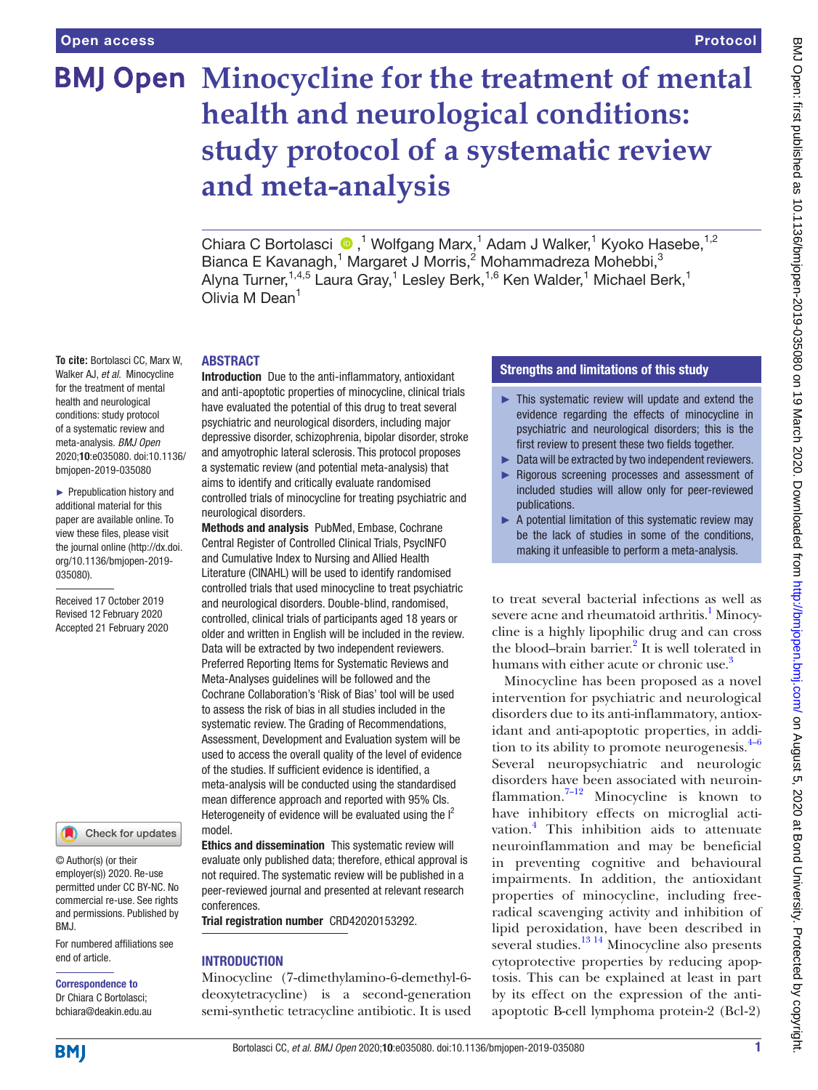# **BMJ Open Minocycline for the treatment of mental health and neurological conditions: study protocol of a systematic review and meta-analysis**

ChiaraC Bortolasci (D, <sup>1</sup> Wolfgang Marx, <sup>1</sup> Adam J Walker, <sup>1</sup> Kyoko Hasebe, <sup>1,2</sup> Bianca E Kavanagh,<sup>1</sup> Margaret J Morris,<sup>2</sup> Mohammadreza Mohebbi,<sup>3</sup> Alyna Turner,<sup>1,4,5</sup> Laura Gray,<sup>1</sup> Lesley Berk,<sup>1,6</sup> Ken Walder,<sup>1</sup> Michael Berk,<sup>1</sup> Olivia M Dean<sup>1</sup>

#### **ABSTRACT**

**To cite:** Bortolasci CC, Marx W, Walker AJ, *et al*. Minocycline for the treatment of mental health and neurological conditions: study protocol of a systematic review and meta-analysis. *BMJ Open* 2020;10:e035080. doi:10.1136/ bmjopen-2019-035080

► Prepublication history and additional material for this paper are available online. To view these files, please visit the journal online (http://dx.doi. org/10.1136/bmjopen-2019- 035080).

Received 17 October 2019 Revised 12 February 2020 Accepted 21 February 2020



© Author(s) (or their employer(s)) 2020. Re-use permitted under CC BY-NC. No commercial re-use. See rights and permissions. Published by BMJ.

For numbered affiliations see end of article.

#### Correspondence to Dr Chiara C Bortolasci;

bchiara@deakin.edu.au

Introduction Due to the anti-inflammatory, antioxidant and anti-apoptotic properties of minocycline, clinical trials have evaluated the potential of this drug to treat several psychiatric and neurological disorders, including major depressive disorder, schizophrenia, bipolar disorder, stroke and amyotrophic lateral sclerosis. This protocol proposes a systematic review (and potential meta-analysis) that aims to identify and critically evaluate randomised controlled trials of minocycline for treating psychiatric and neurological disorders.

Methods and analysis PubMed, Embase, Cochrane Central Register of Controlled Clinical Trials, PsycINFO and Cumulative Index to Nursing and Allied Health Literature (CINAHL) will be used to identify randomised controlled trials that used minocycline to treat psychiatric and neurological disorders. Double-blind, randomised, controlled, clinical trials of participants aged 18 years or older and written in English will be included in the review. Data will be extracted by two independent reviewers. Preferred Reporting Items for Systematic Reviews and Meta-Analyses guidelines will be followed and the Cochrane Collaboration's 'Risk of Bias' tool will be used to assess the risk of bias in all studies included in the systematic review. The Grading of Recommendations, Assessment, Development and Evaluation system will be used to access the overall quality of the level of evidence of the studies. If sufficient evidence is identified, a meta-analysis will be conducted using the standardised mean difference approach and reported with 95% CIs. Heterogeneity of evidence will be evaluated using the  $I<sup>2</sup>$ model.

Ethics and dissemination This systematic review will evaluate only published data; therefore, ethical approval is not required. The systematic review will be published in a peer-reviewed journal and presented at relevant research conferences.

Trial registration number CRD42020153292.

# **INTRODUCTION**

Minocycline (7‐dimethylamino‐6‐demethyl‐6‐ deoxytetracycline) is a second‐generation semi‐synthetic tetracycline antibiotic. It is used

# Strengths and limitations of this study

- ► This systematic review will update and extend the evidence regarding the effects of minocycline in psychiatric and neurological disorders; this is the first review to present these two fields together.
- ► Data will be extracted by two independent reviewers.
- ► Rigorous screening processes and assessment of included studies will allow only for peer-reviewed publications.
- ► A potential limitation of this systematic review may be the lack of studies in some of the conditions, making it unfeasible to perform a meta-analysis.

to treat several bacterial infections as well as severe acne and rheumatoid arthritis.<sup>1</sup> Minocycline is a highly lipophilic drug and can cross the blood–brain barrier.<sup>[2](#page-4-1)</sup> It is well tolerated in humans with either acute or chronic use.<sup>[3](#page-4-2)</sup>

Minocycline has been proposed as a novel intervention for psychiatric and neurological disorders due to its anti-inflammatory, antioxidant and anti-apoptotic properties, in addition to its ability to promote neurogenesis. $4-6$ Several neuropsychiatric and neurologic disorders have been associated with neuroinflammation.<sup>7-12</sup> Minocycline is known to have inhibitory effects on microglial activation.[4](#page-4-3) This inhibition aids to attenuate neuroinflammation and may be beneficial in preventing cognitive and behavioural impairments. In addition, the antioxidant properties of minocycline, including free‐ radical scavenging activity and inhibition of lipid peroxidation, have been described in several studies. $\frac{13 \text{ 14}}{1}$  Minocycline also presents cytoprotective properties by reducing apoptosis. This can be explained at least in part by its effect on the expression of the anti‐ apoptotic B-cell lymphoma protein-2 (Bcl‐2)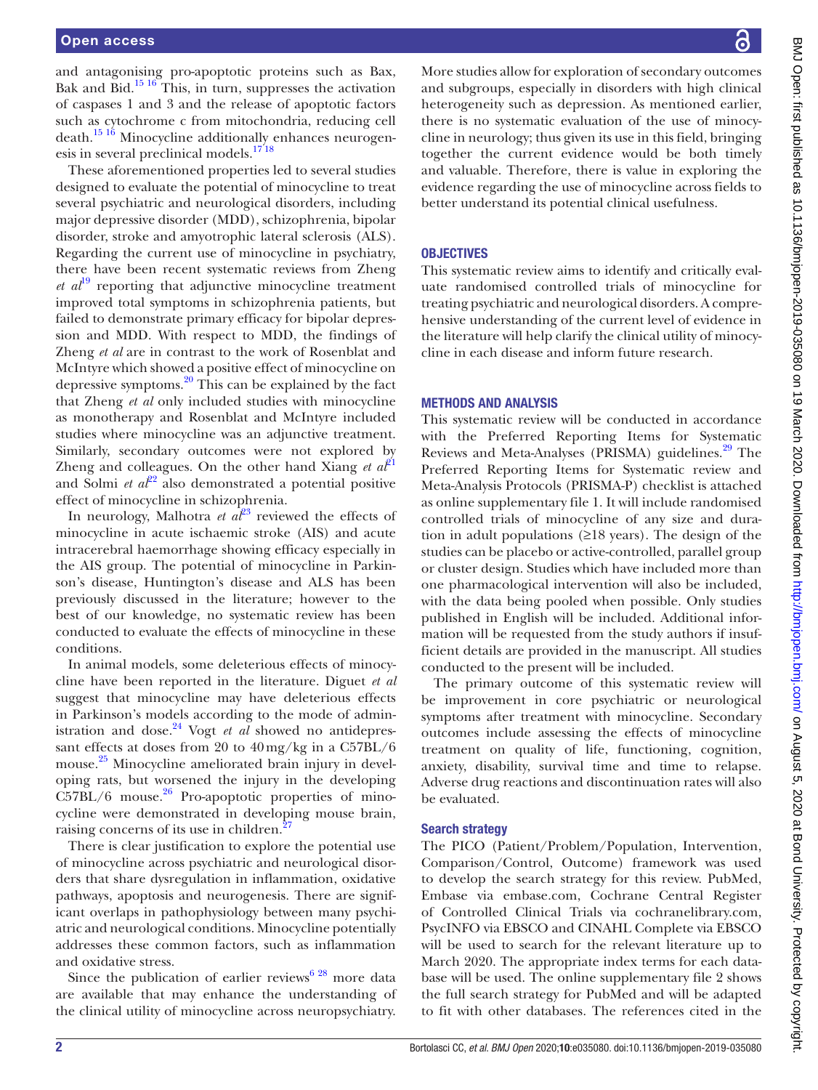and antagonising pro-apoptotic proteins such as Bax, Bak and Bid.[15 16](#page-4-6) This, in turn, suppresses the activation of caspases 1 and 3 and the release of apoptotic factors such as cytochrome c from mitochondria, reducing cell death.<sup>15 16</sup> Minocycline additionally enhances neurogenesis in several preclinical models.<sup>1718</sup>

These aforementioned properties led to several studies designed to evaluate the potential of minocycline to treat several psychiatric and neurological disorders, including major depressive disorder (MDD), schizophrenia, bipolar disorder, stroke and amyotrophic lateral sclerosis (ALS). Regarding the current use of minocycline in psychiatry, there have been recent systematic reviews from Zheng  $et al^{19}$  reporting that adjunctive minocycline treatment improved total symptoms in schizophrenia patients, but failed to demonstrate primary efficacy for bipolar depression and MDD. With respect to MDD, the findings of Zheng *et al* are in contrast to the work of Rosenblat and McIntyre which showed a positive effect of minocycline on depressive symptoms.[20](#page-4-9) This can be explained by the fact that Zheng *et al* only included studies with minocycline as monotherapy and Rosenblat and McIntyre included studies where minocycline was an adjunctive treatment. Similarly, secondary outcomes were not explored by Zheng and colleagues. On the other hand Xiang *et*  $a<sup>p</sup>$ and Solmi *et al*<sup>[22](#page-4-11)</sup> also demonstrated a potential positive effect of minocycline in schizophrenia.

In neurology, Malhotra *et*  $a\tilde{l}^{23}$  reviewed the effects of minocycline in acute ischaemic stroke (AIS) and acute intracerebral haemorrhage showing efficacy especially in the AIS group. The potential of minocycline in Parkinson's disease, Huntington's disease and ALS has been previously discussed in the literature; however to the best of our knowledge, no systematic review has been conducted to evaluate the effects of minocycline in these conditions.

In animal models, some deleterious effects of minocycline have been reported in the literature. Diguet *et al* suggest that minocycline may have deleterious effects in Parkinson's models according to the mode of administration and dose.<sup>24</sup> Vogt *et al* showed no antidepressant effects at doses from 20 to 40mg/kg in a C57BL/6 mouse.<sup>25</sup> Minocycline ameliorated brain injury in developing rats, but worsened the injury in the developing  $C57BL/6$  mouse.<sup>26</sup> Pro-apoptotic properties of minocycline were demonstrated in developing mouse brain, raising concerns of its use in children.<sup>2</sup>

There is clear justification to explore the potential use of minocycline across psychiatric and neurological disorders that share dysregulation in inflammation, oxidative pathways, apoptosis and neurogenesis. There are significant overlaps in pathophysiology between many psychiatric and neurological conditions. Minocycline potentially addresses these common factors, such as inflammation and oxidative stress.

Since the publication of earlier reviews $6^{28}$  more data are available that may enhance the understanding of the clinical utility of minocycline across neuropsychiatry.

More studies allow for exploration of secondary outcomes and subgroups, especially in disorders with high clinical heterogeneity such as depression. As mentioned earlier, there is no systematic evaluation of the use of minocycline in neurology; thus given its use in this field, bringing together the current evidence would be both timely and valuable. Therefore, there is value in exploring the evidence regarding the use of minocycline across fields to better understand its potential clinical usefulness.

# **OBJECTIVES**

This systematic review aims to identify and critically evaluate randomised controlled trials of minocycline for treating psychiatric and neurological disorders. A comprehensive understanding of the current level of evidence in the literature will help clarify the clinical utility of minocycline in each disease and inform future research.

## Methods and analysis

This systematic review will be conducted in accordance with the Preferred Reporting Items for Systematic Reviews and Meta-Analyses (PRISMA) guidelines.<sup>29</sup> The Preferred Reporting Items for Systematic review and Meta-Analysis Protocols (PRISMA-P) checklist is attached as [online supplementary file 1.](https://dx.doi.org/10.1136/bmjopen-2019-035080) It will include randomised controlled trials of minocycline of any size and duration in adult populations  $(\geq 18$  years). The design of the studies can be placebo or active-controlled, parallel group or cluster design. Studies which have included more than one pharmacological intervention will also be included, with the data being pooled when possible. Only studies published in English will be included. Additional information will be requested from the study authors if insufficient details are provided in the manuscript. All studies conducted to the present will be included.

The primary outcome of this systematic review will be improvement in core psychiatric or neurological symptoms after treatment with minocycline. Secondary outcomes include assessing the effects of minocycline treatment on quality of life, functioning, cognition, anxiety, disability, survival time and time to relapse. Adverse drug reactions and discontinuation rates will also be evaluated.

# Search strategy

The PICO (Patient/Problem/Population, Intervention, Comparison/Control, Outcome) framework was used to develop the search strategy for this review. PubMed, Embase via embase.com, Cochrane Central Register of Controlled Clinical Trials via cochranelibrary.com, PsycINFO via EBSCO and CINAHL Complete via EBSCO will be used to search for the relevant literature up to March 2020. The appropriate index terms for each database will be used. The [online supplementary file 2](https://dx.doi.org/10.1136/bmjopen-2019-035080) shows the full search strategy for PubMed and will be adapted to fit with other databases. The references cited in the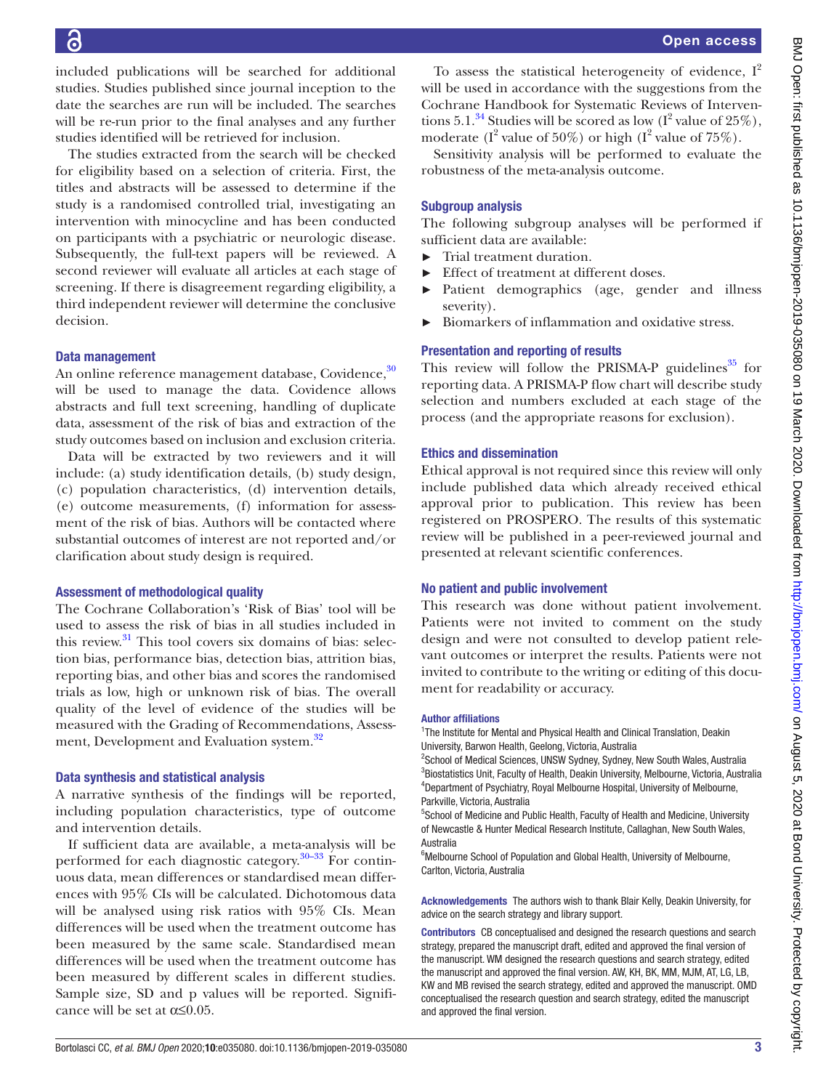included publications will be searched for additional studies. Studies published since journal inception to the date the searches are run will be included. The searches will be re-run prior to the final analyses and any further studies identified will be retrieved for inclusion.

The studies extracted from the search will be checked for eligibility based on a selection of criteria. First, the titles and abstracts will be assessed to determine if the study is a randomised controlled trial, investigating an intervention with minocycline and has been conducted on participants with a psychiatric or neurologic disease. Subsequently, the full-text papers will be reviewed. A second reviewer will evaluate all articles at each stage of screening. If there is disagreement regarding eligibility, a third independent reviewer will determine the conclusive decision.

#### Data management

An online reference management database, Covidence, <sup>30</sup> will be used to manage the data. Covidence allows abstracts and full text screening, handling of duplicate data, assessment of the risk of bias and extraction of the study outcomes based on inclusion and exclusion criteria.

Data will be extracted by two reviewers and it will include: (a) study identification details, (b) study design, (c) population characteristics, (d) intervention details, (e) outcome measurements, (f) information for assessment of the risk of bias. Authors will be contacted where substantial outcomes of interest are not reported and/or clarification about study design is required.

## Assessment of methodological quality

The Cochrane Collaboration's 'Risk of Bias' tool will be used to assess the risk of bias in all studies included in this review.<sup>31</sup> This tool covers six domains of bias: selection bias, performance bias, detection bias, attrition bias, reporting bias, and other bias and scores the randomised trials as low, high or unknown risk of bias. The overall quality of the level of evidence of the studies will be measured with the Grading of Recommendations, Assessment, Development and Evaluation system.<sup>32</sup>

#### Data synthesis and statistical analysis

A narrative synthesis of the findings will be reported, including population characteristics, type of outcome and intervention details.

If sufficient data are available, a meta-analysis will be performed for each diagnostic category.<sup>30–33</sup> For continuous data, mean differences or standardised mean differences with 95% CIs will be calculated. Dichotomous data will be analysed using risk ratios with 95% CIs. Mean differences will be used when the treatment outcome has been measured by the same scale. Standardised mean differences will be used when the treatment outcome has been measured by different scales in different studies. Sample size, SD and p values will be reported. Significance will be set at  $\alpha \leq 0.05$ .

To assess the statistical heterogeneity of evidence,  $I^2$ will be used in accordance with the suggestions from the Cochrane Handbook for Systematic Reviews of Interventions 5.1.<sup>34</sup> Studies will be scored as low  $(I^2 \text{ value of } 25\%),$ moderate (I<sup>2</sup> value of 50%) or high (I<sup>2</sup> value of 75%).

Sensitivity analysis will be performed to evaluate the robustness of the meta-analysis outcome.

## Subgroup analysis

The following subgroup analyses will be performed if sufficient data are available:

- ► Trial treatment duration.
- Effect of treatment at different doses.
- Patient demographics (age, gender and illness severity).
- Biomarkers of inflammation and oxidative stress.

#### Presentation and reporting of results

This review will follow the PRISMA-P guidelines<sup>35</sup> for reporting data. A PRISMA-P flow chart will describe study selection and numbers excluded at each stage of the process (and the appropriate reasons for exclusion).

#### Ethics and dissemination

Ethical approval is not required since this review will only include published data which already received ethical approval prior to publication. This review has been registered on PROSPERO. The results of this systematic review will be published in a peer-reviewed journal and presented at relevant scientific conferences.

### No patient and public involvement

This research was done without patient involvement. Patients were not invited to comment on the study design and were not consulted to develop patient relevant outcomes or interpret the results. Patients were not invited to contribute to the writing or editing of this document for readability or accuracy.

#### Author affiliations

<sup>1</sup>The Institute for Mental and Physical Health and Clinical Translation, Deakin University, Barwon Health, Geelong, Victoria, Australia

<sup>2</sup>School of Medical Sciences, UNSW Sydney, Sydney, New South Wales, Australia <sup>3</sup>Biostatistics Unit, Faculty of Health, Deakin University, Melbourne, Victoria, Australia 4 Department of Psychiatry, Royal Melbourne Hospital, University of Melbourne, Parkville, Victoria, Australia

<sup>5</sup>School of Medicine and Public Health, Faculty of Health and Medicine, University of Newcastle & Hunter Medical Research Institute, Callaghan, New South Wales, Australia

<sup>6</sup>Melbourne School of Population and Global Health, University of Melbourne, Carlton, Victoria, Australia

Acknowledgements The authors wish to thank Blair Kelly, Deakin University, for advice on the search strategy and library support.

Contributors CB conceptualised and designed the research questions and search strategy, prepared the manuscript draft, edited and approved the final version of the manuscript. WM designed the research questions and search strategy, edited the manuscript and approved the final version. AW, KH, BK, MM, MJM, AT, LG, LB, KW and MB revised the search strategy, edited and approved the manuscript. OMD conceptualised the research question and search strategy, edited the manuscript and approved the final version.